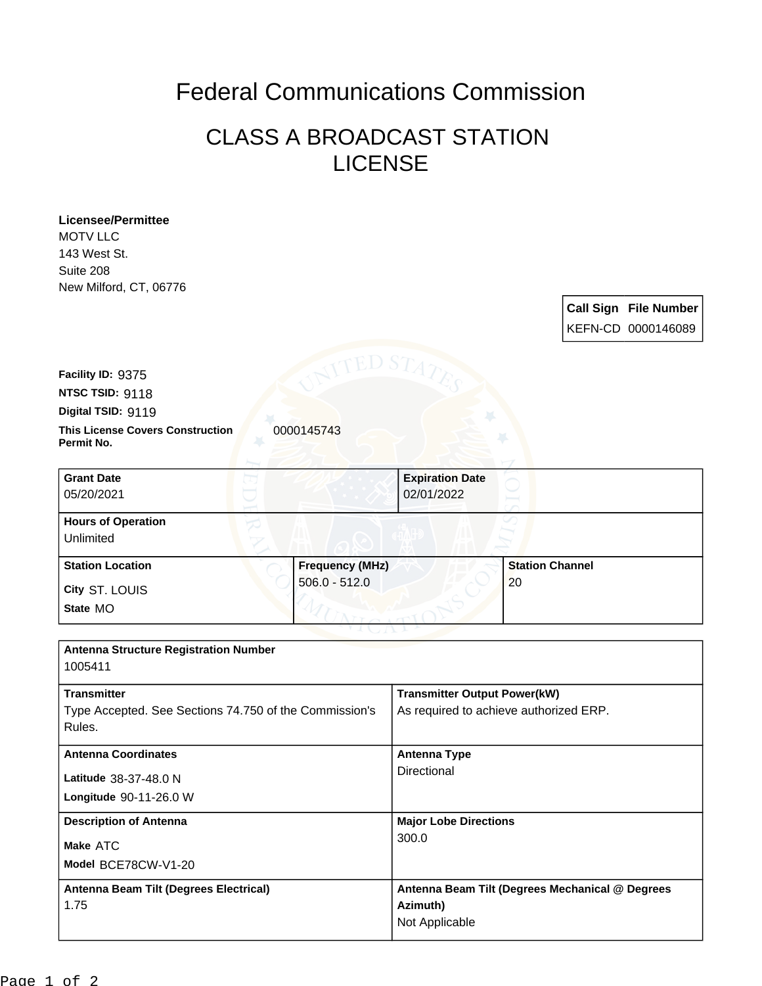## Federal Communications Commission

## CLASS A BROADCAST STATION LICENSE

| <b>Licensee/Permittee</b><br><b>MOTV LLC</b>                        |                                                  |
|---------------------------------------------------------------------|--------------------------------------------------|
| 143 West St.                                                        |                                                  |
| Suite 208                                                           |                                                  |
| New Milford, CT, 06776                                              |                                                  |
|                                                                     | <b>Call Sign File Number</b>                     |
|                                                                     | KEFN-CD 0000146089                               |
| Facility ID: 9375                                                   | ED ST                                            |
| NTSC TSID: 9118                                                     |                                                  |
| Digital TSID: 9119                                                  |                                                  |
| <b>This License Covers Construction</b><br>0000145743<br>Permit No. |                                                  |
|                                                                     |                                                  |
| <b>Grant Date</b><br>05/20/2021                                     | <b>Expiration Date</b><br>02/01/2022             |
| <b>Hours of Operation</b><br>Unlimited                              |                                                  |
| <b>Station Location</b>                                             | <b>Station Channel</b><br><b>Frequency (MHz)</b> |
| $506.0 - 512.0$<br>City ST. LOUIS                                   | 20                                               |
| State MO                                                            |                                                  |
|                                                                     |                                                  |
| <b>Antenna Structure Registration Number</b><br>1005411             |                                                  |
| <b>Transmitter</b>                                                  | <b>Transmitter Output Power(kW)</b>              |
| Type Accepted. See Sections 74.750 of the Commission's<br>Rules.    | As required to achieve authorized ERP.           |
| <b>Antenna Coordinates</b>                                          | <b>Antenna Type</b>                              |
| Latitude 38-37-48.0 N                                               | Directional                                      |
| Longitude 90-11-26.0 W                                              |                                                  |
| <b>Description of Antenna</b>                                       | <b>Major Lobe Directions</b>                     |
| Make ATC                                                            | 300.0                                            |
| Model BCE78CW-V1-20                                                 |                                                  |
| Antenna Beam Tilt (Degrees Electrical)                              | Antenna Beam Tilt (Degrees Mechanical @ Degrees  |
| 1.75                                                                | Azimuth)                                         |
|                                                                     | Not Applicable                                   |